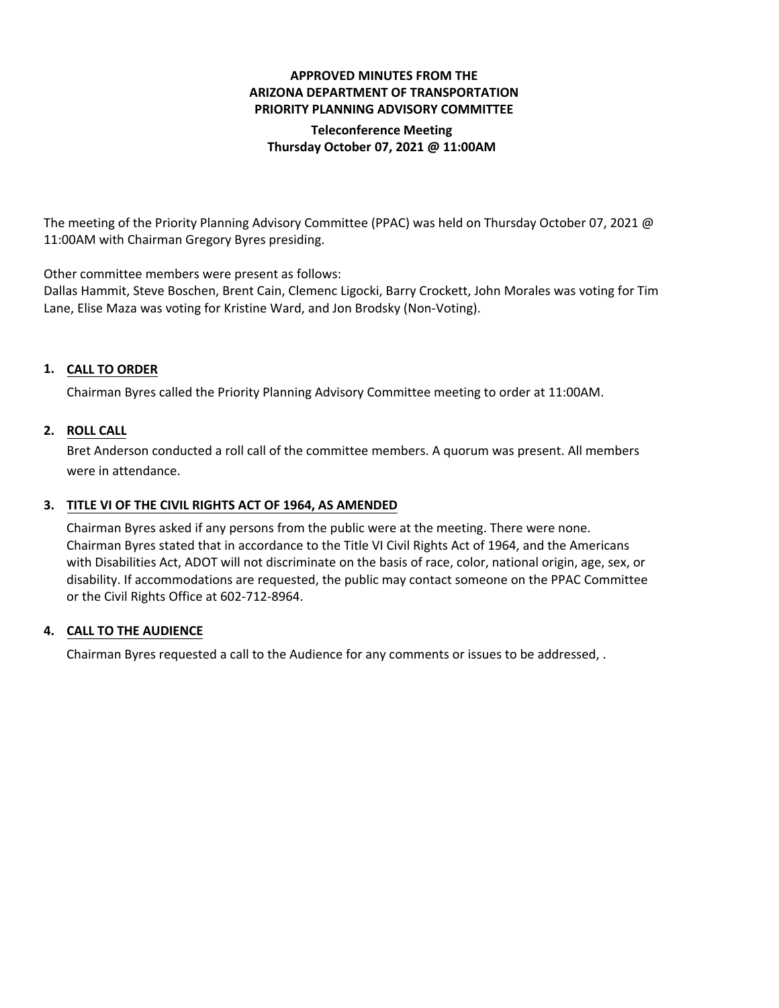# **APPROVED MINUTES FROM THE ARIZONA DEPARTMENT OF TRANSPORTATION PRIORITY PLANNING ADVISORY COMMITTEE Teleconference Meeting Thursday October 07, 2021 @ 11:00AM**

The meeting of the Priority Planning Advisory Committee (PPAC) was held on Thursday October 07, 2021 @ 11:00AM with Chairman Gregory Byres presiding.

Other committee members were present as follows:

Dallas Hammit, Steve Boschen, Brent Cain, Clemenc Ligocki, Barry Crockett, John Morales was voting for Tim Lane, Elise Maza was voting for Kristine Ward, and Jon Brodsky (Non-Voting).

# **CALL TO ORDER 1.**

Chairman Byres called the Priority Planning Advisory Committee meeting to order at 11:00AM.

## **ROLL CALL 2.**

Bret Anderson conducted a roll call of the committee members. A quorum was present. All members were in attendance.

# **TITLE VI OF THE CIVIL RIGHTS ACT OF 1964, AS AMENDED 3.**

Chairman Byres asked if any persons from the public were at the meeting. There were none. Chairman Byres stated that in accordance to the Title VI Civil Rights Act of 1964, and the Americans with Disabilities Act, ADOT will not discriminate on the basis of race, color, national origin, age, sex, or disability. If accommodations are requested, the public may contact someone on the PPAC Committee or the Civil Rights Office at 602-712-8964.

### **CALL TO THE AUDIENCE 4.**

Chairman Byres requested a call to the Audience for any comments or issues to be addressed, .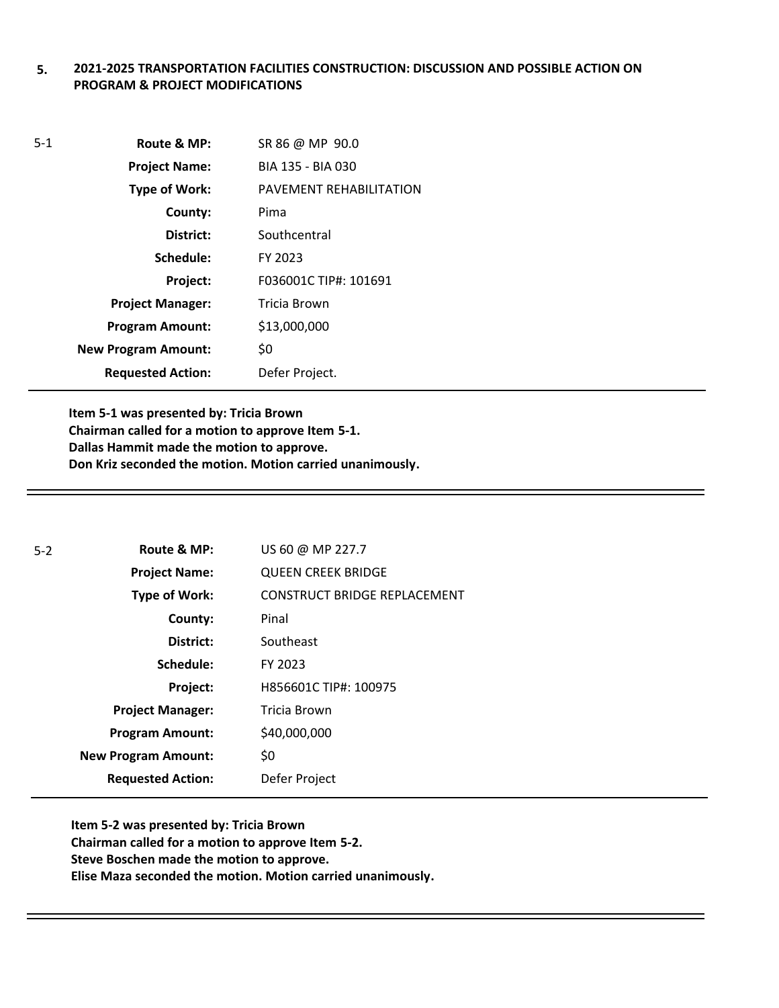### **5. 2021-2025 TRANSPORTATION FACILITIES CONSTRUCTION: DISCUSSION AND POSSIBLE ACTION ON PROGRAM & PROJECT MODIFICATIONS**

| $5 - 1$ | Route & MP:                | SR 86 @ MP 90.0         |
|---------|----------------------------|-------------------------|
|         | <b>Project Name:</b>       | BIA 135 - BIA 030       |
|         | <b>Type of Work:</b>       | PAVEMENT REHABILITATION |
|         | County:                    | Pima                    |
|         | District:                  | Southcentral            |
|         | Schedule:                  | FY 2023                 |
|         | Project:                   | F036001C TIP#: 101691   |
|         | <b>Project Manager:</b>    | Tricia Brown            |
|         | <b>Program Amount:</b>     | \$13,000,000            |
|         | <b>New Program Amount:</b> | \$0                     |
|         | <b>Requested Action:</b>   | Defer Project.          |

**Item 5-1 was presented by: Tricia Brown Chairman called for a motion to approve Item 5-1. Dallas Hammit made the motion to approve. Don Kriz seconded the motion. Motion carried unanimously.**

| $5-2$ | Route & MP:                | US 60 @ MP 227.7                    |
|-------|----------------------------|-------------------------------------|
|       | <b>Project Name:</b>       | <b>QUEEN CREEK BRIDGE</b>           |
|       | <b>Type of Work:</b>       | <b>CONSTRUCT BRIDGE REPLACEMENT</b> |
|       | County:                    | Pinal                               |
|       | District:                  | Southeast                           |
|       | Schedule:                  | FY 2023                             |
|       | Project:                   | H856601C TIP#: 100975               |
|       | <b>Project Manager:</b>    | Tricia Brown                        |
|       | <b>Program Amount:</b>     | \$40,000,000                        |
|       | <b>New Program Amount:</b> | \$0                                 |
|       | <b>Requested Action:</b>   | Defer Project                       |

**Item 5-2 was presented by: Tricia Brown Chairman called for a motion to approve Item 5-2. Steve Boschen made the motion to approve. Elise Maza seconded the motion. Motion carried unanimously.**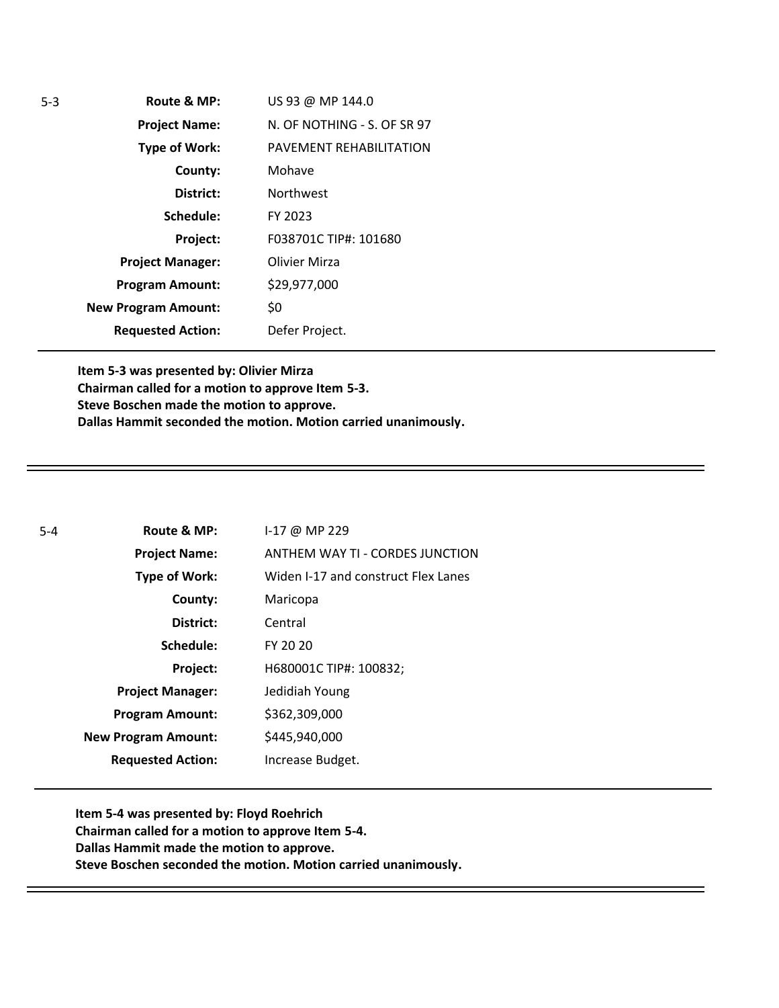| 5-3 | Route & MP:                | US 93 @ MP 144.0            |
|-----|----------------------------|-----------------------------|
|     | <b>Project Name:</b>       | N. OF NOTHING - S. OF SR 97 |
|     | <b>Type of Work:</b>       | PAVEMENT REHABILITATION     |
|     | County:                    | Mohave                      |
|     | District:                  | <b>Northwest</b>            |
|     | Schedule:                  | FY 2023                     |
|     | Project:                   | F038701C TIP#: 101680       |
|     | <b>Project Manager:</b>    | Olivier Mirza               |
|     | <b>Program Amount:</b>     | \$29,977,000                |
|     | <b>New Program Amount:</b> | \$0                         |
|     | <b>Requested Action:</b>   | Defer Project.              |

**Item 5-3 was presented by: Olivier Mirza Chairman called for a motion to approve Item 5-3. Steve Boschen made the motion to approve. Dallas Hammit seconded the motion. Motion carried unanimously.**

| $5 - 4$ | Route & MP:                | 1-17 @ MP 229                       |
|---------|----------------------------|-------------------------------------|
|         | <b>Project Name:</b>       | ANTHEM WAY TI - CORDES JUNCTION     |
|         | <b>Type of Work:</b>       | Widen I-17 and construct Flex Lanes |
|         | County:                    | Maricopa                            |
|         | District:                  | Central                             |
|         | Schedule:                  | FY 20 20                            |
|         | Project:                   | H680001C TIP#: 100832;              |
|         | <b>Project Manager:</b>    | Jedidiah Young                      |
|         | <b>Program Amount:</b>     | \$362,309,000                       |
|         | <b>New Program Amount:</b> | \$445,940,000                       |
|         | <b>Requested Action:</b>   | Increase Budget.                    |

**Item 5-4 was presented by: Floyd Roehrich Chairman called for a motion to approve Item 5-4. Dallas Hammit made the motion to approve. Steve Boschen seconded the motion. Motion carried unanimously.**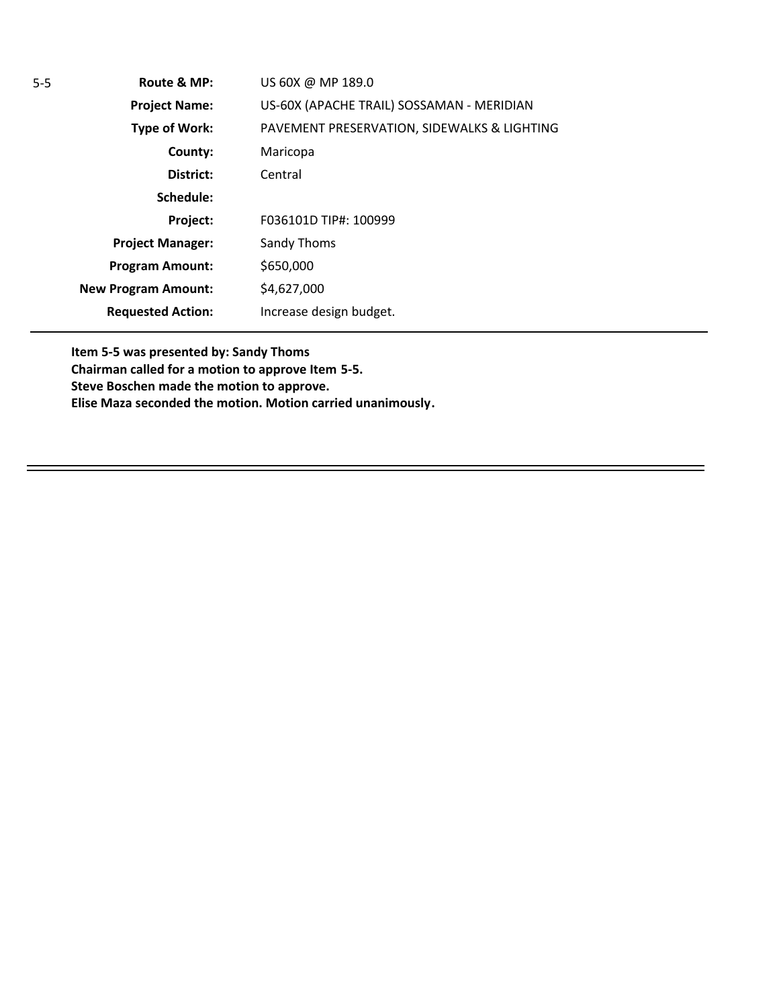**Route & MP: Project Name: Type of Work: County: District: Schedule: Project: Project Manager: Program Amount: New Program Amount: Requested Action:** 5-5 **Route & MP:** US 60X @ MP 189.0 US-60X (APACHE TRAIL) SOSSAMAN - MERIDIAN PAVEMENT PRESERVATION, SIDEWALKS & LIGHTING Maricopa Central F036101D TIP#: 100999 Sandy Thoms \$650,000 \$4,627,000 Increase design budget.

**Item 5-5 was presented by: Sandy Thoms Chairman called for a motion to approve Item 5-5. Steve Boschen made the motion to approve. Elise Maza seconded the motion. Motion carried unanimously.**